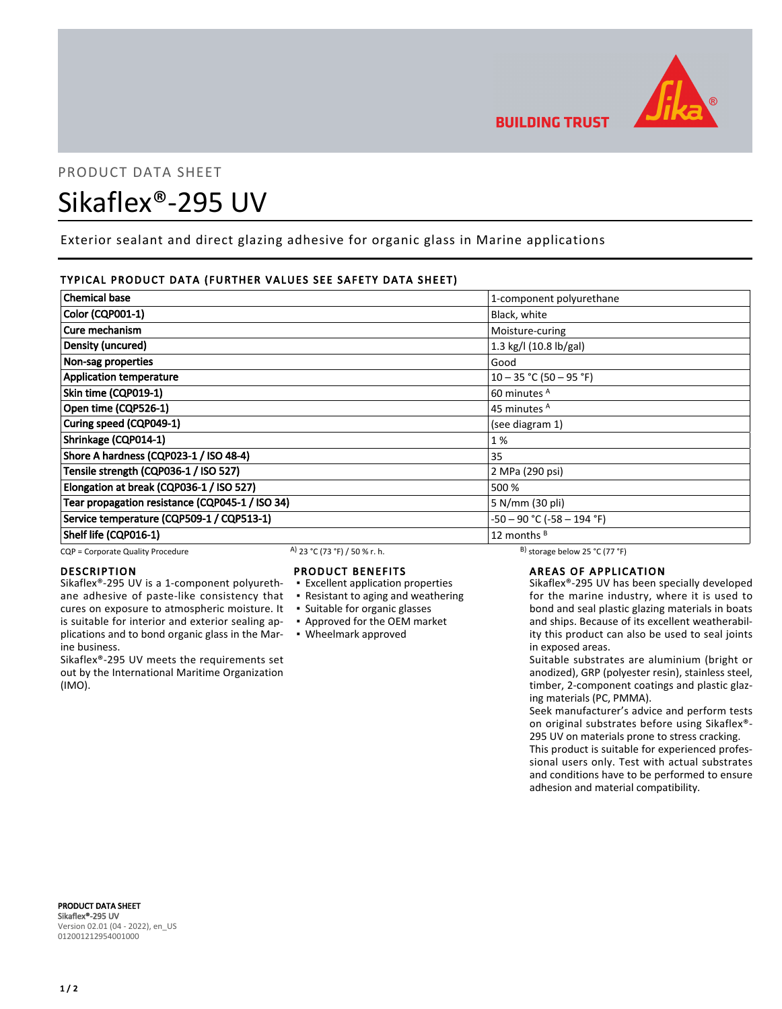

# **BUILDING TRUST**

# PRODUCT DATA SHEET

# Sikaflex®-295 UV

Exterior sealant and direct glazing adhesive for organic glass in Marine applications

### TYPICAL PRODUCT DATA (FURTHER VALUES SEE SAFETY DATA SHEET)

| <b>Chemical base</b>                            | 1-component polyurethane        |
|-------------------------------------------------|---------------------------------|
| Color (CQP001-1)                                | Black, white                    |
| Cure mechanism                                  | Moisture-curing                 |
| Density (uncured)                               | 1.3 kg/l (10.8 lb/gal)          |
| Non-sag properties                              | Good                            |
| <b>Application temperature</b>                  | $10 - 35$ °C (50 - 95 °F)       |
| Skin time (CQP019-1)                            | 60 minutes A                    |
| Open time (CQP526-1)                            | 45 minutes A                    |
| Curing speed (CQP049-1)                         | (see diagram 1)                 |
| Shrinkage (CQP014-1)                            | 1%                              |
| Shore A hardness (CQP023-1 / ISO 48-4)          | 35                              |
| Tensile strength (CQP036-1 / ISO 527)           | 2 MPa (290 psi)                 |
| Elongation at break (CQP036-1 / ISO 527)        | 500 %                           |
| Tear propagation resistance (CQP045-1 / ISO 34) | 5 N/mm (30 pli)                 |
| Service temperature (CQP509-1 / CQP513-1)       | $-50 - 90$ °C ( $-58 - 194$ °F) |
| Shelf life (CQP016-1)                           | 12 months $B$                   |

CQP = Corporate Quality Procedure  $A$ ) 23 °C (73 °F) / 50 % r. h. B) storage below 25 °C (77 °F)

### DESCRIPTION

Sikaflex®-295 UV is a 1-component polyurethane adhesive of paste-like consistency that cures on exposure to atmospheric moisture. It is suitable for interior and exterior sealing applications and to bond organic glass in the Marine business.

Sikaflex®-295 UV meets the requirements set out by the International Maritime Organization (IMO).

# PRODUCT BENEFITS

- **Excellent application properties**
- Resistant to aging and weathering
- Suitable for organic glasses
- Approved for the OEM market
- Wheelmark approved

### AREAS OF APPLICATION

Sikaflex®-295 UV has been specially developed for the marine industry, where it is used to bond and seal plastic glazing materials in boats and ships. Because of its excellent weatherability this product can also be used to seal joints in exposed areas.

Suitable substrates are aluminium (bright or anodized), GRP (polyester resin), stainless steel, timber, 2-component coatings and plastic glazing materials (PC, PMMA).

Seek manufacturer's advice and perform tests on original substrates before using Sikaflex®- 295 UV on materials prone to stress cracking.

This product is suitable for experienced professional users only. Test with actual substrates and conditions have to be performed to ensure adhesion and material compatibility.

PRODUCT DATA SHEET Sikaflex®-295 UV Version 02.01 (04 - 2022), en\_US 012001212954001000